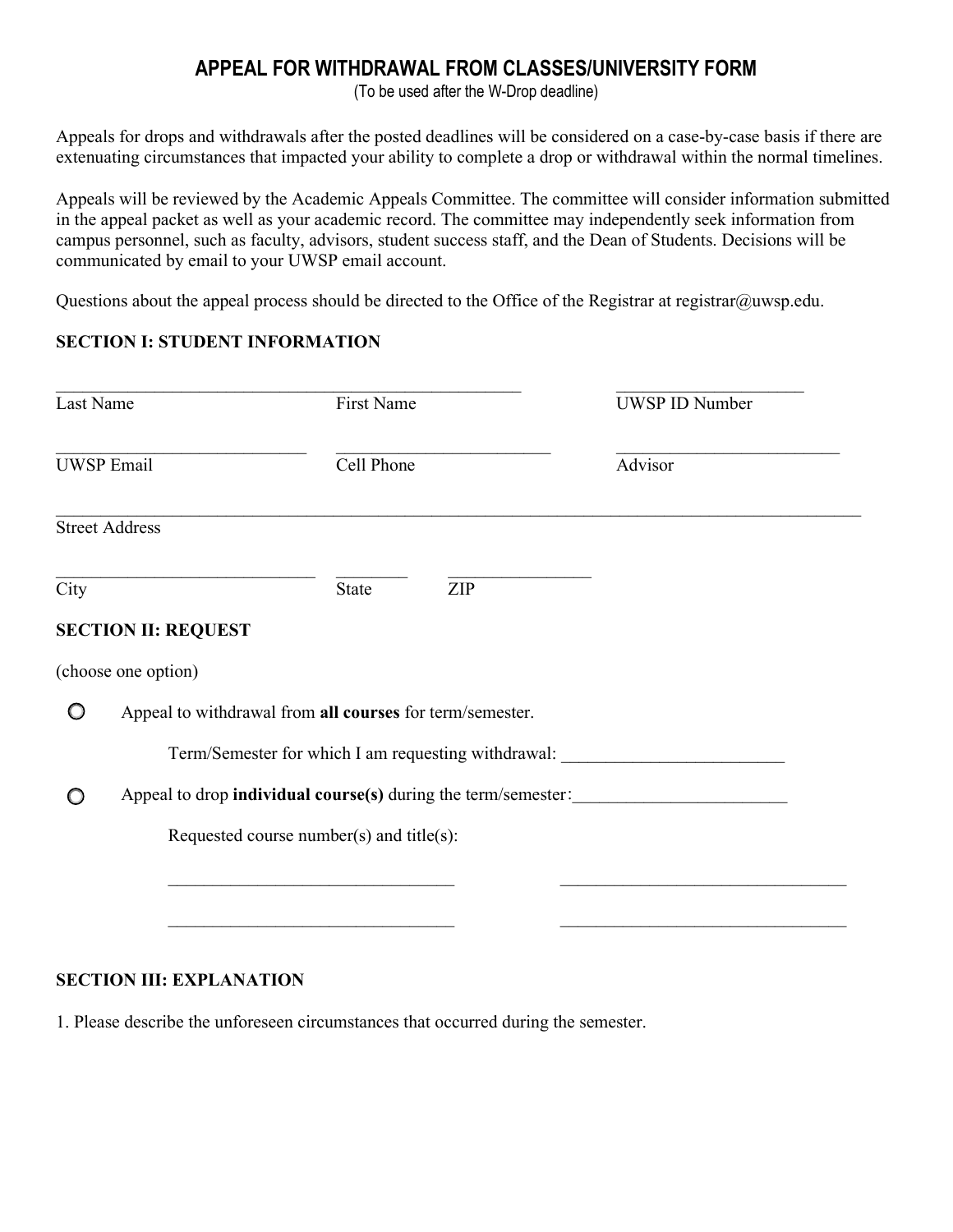## **APPEAL FOR WITHDRAWAL FROM CLASSES/UNIVERSITY FORM**

(To be used after the W-Drop deadline)

Appeals for drops and withdrawals after the posted deadlines will be considered on a case-by-case basis if there are extenuating circumstances that impacted your ability to complete a drop or withdrawal within the normal timelines.

Appeals will be reviewed by the Academic Appeals Committee. The committee will consider information submitted in the appeal packet as well as your academic record. The committee may independently seek information from campus personnel, such as faculty, advisors, student success staff, and the Dean of Students. Decisions will be communicated by email to your UWSP email account.

Questions about the appeal process should be directed to the Office of the Registrar at registrar@uwsp.edu.

## **SECTION I: STUDENT INFORMATION**

| Last Name         |                                                          | First Name   |            | <b>UWSP ID Number</b>                               |
|-------------------|----------------------------------------------------------|--------------|------------|-----------------------------------------------------|
| <b>UWSP Email</b> |                                                          | Cell Phone   |            | Advisor                                             |
|                   | <b>Street Address</b>                                    |              |            |                                                     |
| City              |                                                          | <b>State</b> | <b>ZIP</b> |                                                     |
|                   | <b>SECTION II: REQUEST</b>                               |              |            |                                                     |
|                   | (choose one option)                                      |              |            |                                                     |
|                   | Appeal to withdrawal from all courses for term/semester. |              |            |                                                     |
|                   |                                                          |              |            | Term/Semester for which I am requesting withdrawal: |
|                   |                                                          |              |            |                                                     |
|                   | Requested course number(s) and title(s):                 |              |            |                                                     |
|                   |                                                          |              |            |                                                     |
|                   |                                                          |              |            |                                                     |
|                   |                                                          |              |            |                                                     |

## **SECTION III: EXPLANATION**

1. Please describe the unforeseen circumstances that occurred during the semester.